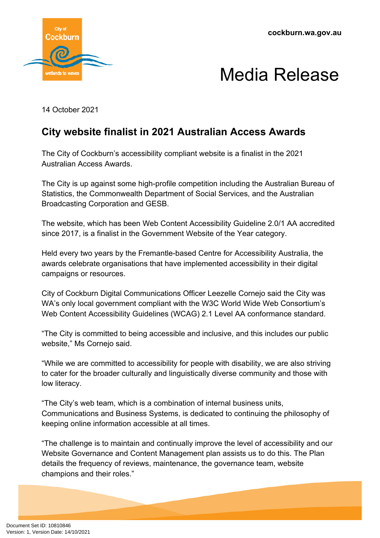**cockburn.wa.gov.au**



## Media Release

14 October 2021

## **City website finalist in 2021 Australian Access Awards**

The City of Cockburn's accessibility compliant website is a finalist in the 2021 Australian Access Awards.

The City is up against some high-profile competition including the Australian Bureau of Statistics, the Commonwealth Department of Social Services, and the Australian Broadcasting Corporation and GESB.

The website, which has been Web Content Accessibility Guideline 2.0/1 AA accredited since 2017, is a finalist in the Government Website of the Year category.

Held every two years by the Fremantle-based Centre for Accessibility Australia, the awards celebrate organisations that have implemented accessibility in their digital campaigns or resources.

City of Cockburn Digital Communications Officer Leezelle Cornejo said the City was WA's only local government compliant with the W3C World Wide Web Consortium's Web Content Accessibility Guidelines (WCAG) 2.1 Level AA conformance standard.

"The City is committed to being accessible and inclusive, and this includes our public website," Ms Cornejo said.

"While we are committed to accessibility for people with disability, we are also striving to cater for the broader culturally and linguistically diverse community and those with low literacy.

"The City's web team, which is a combination of internal business units, Communications and Business Systems, is dedicated to continuing the philosophy of keeping online information accessible at all times.

"The challenge is to maintain and continually improve the level of accessibility and our Website Governance and Content Management plan assists us to do this. The Plan details the frequency of reviews, maintenance, the governance team, website champions and their roles."